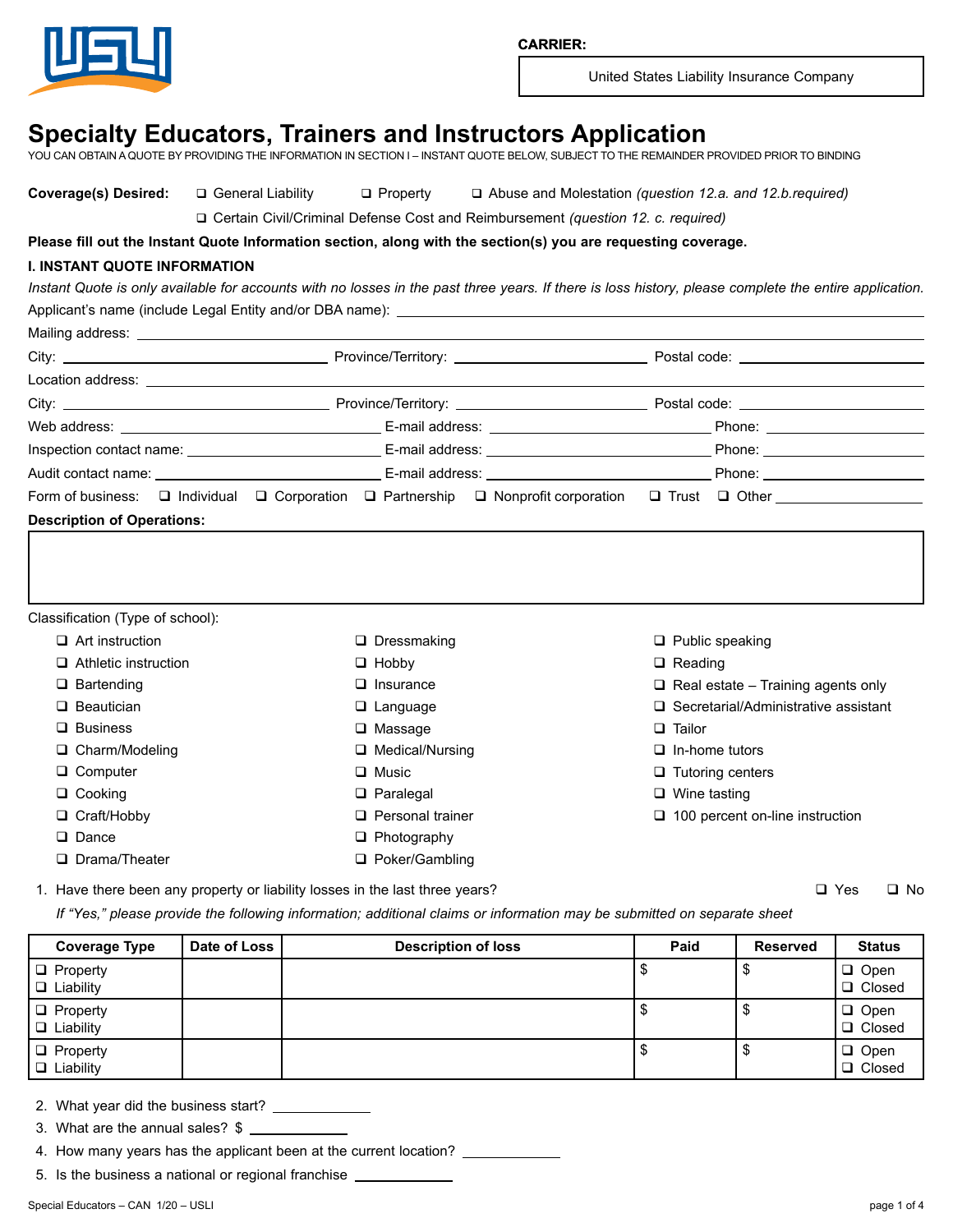

# **Specialty Educators, Trainers and Instructors Application**

YOU CAN OBTAIN A QUOTE BY PROVIDING THE INFORMATION IN SECTION I – INSTANT QUOTE BELOW, SUBJECT TO THE REMAINDER PROVIDED PRIOR TO BINDING

**Coverage(s) Desired:** q General Liability q Property q Abuse and Molestation *(question 12.a. and 12.b.required)*

q Certain Civil/Criminal Defense Cost and Reimbursement *(question 12. c. required)*

**Please fill out the Instant Quote Information section, along with the section(s) you are requesting coverage.**

# **I. INSTANT QUOTE INFORMATION**

*Instant Quote is only available for accounts with no losses in the past three years. If there is loss history, please complete the entire application.* Applicant's name (include Legal Entity and/or DBA name):

|                                   |  |                    |                | Form of business: □ Individual □ Corporation □ Partnership □ Nonprofit corporation □ Trust □ Other _________________ |
|-----------------------------------|--|--------------------|----------------|----------------------------------------------------------------------------------------------------------------------|
| <b>Description of Operations:</b> |  |                    |                |                                                                                                                      |
|                                   |  |                    |                |                                                                                                                      |
|                                   |  |                    |                |                                                                                                                      |
|                                   |  |                    |                |                                                                                                                      |
| Classification (Type of school):  |  |                    |                |                                                                                                                      |
| $\Box$ Art instruction            |  | $\Box$ Dressmaking |                | $\Box$ Public speaking                                                                                               |
| $\Box$ Athletic instruction       |  | $\Box$ Hobby       | $\Box$ Reading |                                                                                                                      |
| $\Box$ Bartending                 |  | $\Box$ Insurance   |                | $\Box$ Real estate – Training agents only                                                                            |
| $\Box$ Beautician                 |  | $\Box$ Language    |                | $\Box$ Secretarial/Administrative assistant                                                                          |

 $\square$  Massage

- □ Medical/Nursing
- **Q** Music
- q Paralegal
- $\Box$  Personal trainer
- $\Box$  Photography
- □ Poker/Gambling
- **Q** Tailor
- $\Box$  In-home tutors
- $\Box$  Tutoring centers
- $\Box$  Wine tasting
- $\Box$  100 percent on-line instruction

1. Have there been any property or liability losses in the last three years?  $\Box$  Yes  $\Box$  Yes  $\Box$  No

*If "Yes," please provide the following information; additional claims or information may be submitted on separate sheet*

| Coverage Type                       | Date of Loss | <b>Description of loss</b> | Paid | <b>Reserved</b> | <b>Status</b>                |
|-------------------------------------|--------------|----------------------------|------|-----------------|------------------------------|
| $\Box$ Property<br>$\Box$ Liability |              |                            |      |                 | $\Box$ Open<br>$\Box$ Closed |
| $\Box$ Property<br>$\Box$ Liability |              |                            |      | จ               | $\Box$ Open<br>I □ Closed    |
| $\Box$ Property<br>$\Box$ Liability |              |                            |      | D               | $\Box$ Open<br>I □ Closed    |

2. What year did the business start?

3. What are the annual sales?  $$$   $\_$ 

4. How many years has the applicant been at the current location?  $\qquad$ 

5. Is the business a national or regional franchise

□ Business

□ Charm/Modeling □ Computer □ Cooking □ Craft/Hobby D Dance

□ Drama/Theater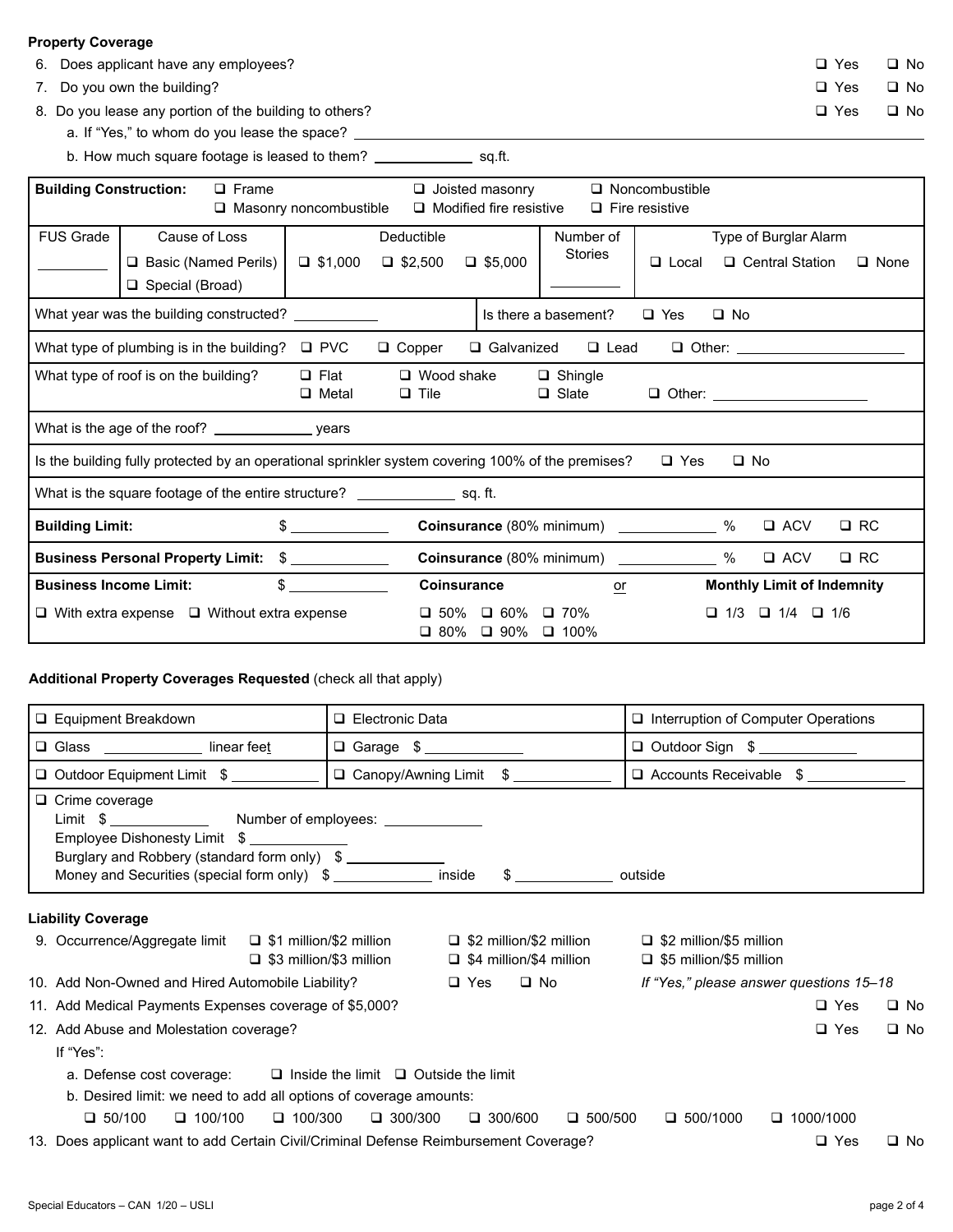# **Property Coverage**

- 6. Does applicant have any employees? General extension of the Version of No. 1996. Q Yes Q No.
- 7. Do you own the building?  $\Box$  Yes  $\Box$  No

8. Do you lease any portion of the building to others?  $\Box$  Yes  $\Box$  No

- a. If "Yes," to whom do you lease the space? \_\_\_\_\_\_\_\_\_\_\_\_
- b. How much square footage is leased to them? \_\_\_\_\_\_\_\_\_\_\_\_\_\_\_\_ sq.ft.

| <b>Building Construction:</b><br>$\Box$ Frame          |                      | $\Box$ Joisted masonry<br>Masonry noncombustible<br>$\Box$ Modified fire resistive |                    | $\Box$ Noncombustible<br>$\Box$ Fire resistive                                                    |                                             |                                            |              |                                   |                                  |              |
|--------------------------------------------------------|----------------------|------------------------------------------------------------------------------------|--------------------|---------------------------------------------------------------------------------------------------|---------------------------------------------|--------------------------------------------|--------------|-----------------------------------|----------------------------------|--------------|
| FUS Grade<br>Cause of Loss                             |                      |                                                                                    | Deductible         |                                                                                                   | Number of                                   | Type of Burglar Alarm                      |              |                                   |                                  |              |
|                                                        | Basic (Named Perils) |                                                                                    | $\Box$ \$1,000     | $\Box$ \$2,500                                                                                    | $\Box$ \$5,000                              | <b>Stories</b>                             | $\Box$ Local |                                   | $\Box$ Central Station           | $\Box$ None  |
|                                                        | Special (Broad)      |                                                                                    |                    |                                                                                                   |                                             |                                            |              |                                   |                                  |              |
| What year was the building constructed? ___________    |                      |                                                                                    |                    |                                                                                                   |                                             | Is there a basement?                       | $\Box$ Yes   | $\Box$ No                         |                                  |              |
| What type of plumbing is in the building? $\Box$ PVC   |                      |                                                                                    |                    | $\Box$ Copper                                                                                     |                                             | □ Galvanized □ Lead                        |              |                                   |                                  |              |
| What type of roof is on the building?                  |                      |                                                                                    | $\Box$ Flat        | $\Box$ Wood shake                                                                                 |                                             | $\Box$ Shingle                             |              |                                   |                                  |              |
|                                                        |                      |                                                                                    | $\Box$ Metal       | $\Box$ Tile                                                                                       |                                             | $\Box$ Slate                               |              |                                   |                                  |              |
|                                                        |                      |                                                                                    |                    |                                                                                                   |                                             |                                            |              |                                   |                                  |              |
|                                                        |                      |                                                                                    |                    | Is the building fully protected by an operational sprinkler system covering 100% of the premises? |                                             |                                            | $\Box$ Yes   | $\Box$ No                         |                                  |              |
|                                                        |                      |                                                                                    |                    | What is the square footage of the entire structure? _______________________ sq. ft.               |                                             |                                            |              |                                   |                                  |              |
| <b>Building Limit:</b>                                 |                      |                                                                                    | $\frac{1}{2}$      |                                                                                                   |                                             | Coinsurance (80% minimum) ______________ % |              |                                   | $\square$ ACV                    | $\square$ RC |
| Business Personal Property Limit: \$                   |                      |                                                                                    |                    |                                                                                                   | Coinsurance (80% minimum) _______________ % |                                            |              | $\square$ ACV                     | $\square$ RC                     |              |
| $\sim$<br><b>Business Income Limit:</b>                |                      |                                                                                    | <b>Coinsurance</b> |                                                                                                   | or                                          |                                            |              | <b>Monthly Limit of Indemnity</b> |                                  |              |
| $\Box$ With extra expense $\Box$ Without extra expense |                      |                                                                                    |                    | $\Box$ 50%<br>$\Box$ 80%                                                                          | $\Box$ 60%<br>$\Box$ 90%                    | $\Box$ 70%<br>$\Box$ 100%                  |              |                                   | $\Box$ 1/3 $\Box$ 1/4 $\Box$ 1/6 |              |

## **Additional Property Coverages Requested** (check all that apply)

| □ Equipment Breakdown                                                                                                                                | □ Electronic Data                                                                                  | $\Box$ Interruption of Computer Operations                       |
|------------------------------------------------------------------------------------------------------------------------------------------------------|----------------------------------------------------------------------------------------------------|------------------------------------------------------------------|
| □ Glass ______________ linear feet                                                                                                                   | □ Garage \$                                                                                        | □ Outdoor Sign \$                                                |
| □ Outdoor Equipment Limit \$                                                                                                                         | □ Canopy/Awning Limit \$                                                                           | Accounts Receivable \$                                           |
| $\Box$ Crime coverage<br>Employee Dishonesty Limit \$<br>Burglary and Robbery (standard form only) \$<br>Money and Securities (special form only) \$ | inside<br>$\frac{1}{2}$ outside                                                                    |                                                                  |
| <b>Liability Coverage</b>                                                                                                                            |                                                                                                    |                                                                  |
| 9. Occurrence/Aggregate limit □ \$1 million/\$2 million                                                                                              | $\Box$ \$2 million/\$2 million<br>$\Box$ \$3 million/\$3 million<br>$\Box$ \$4 million/\$4 million | $\Box$ \$2 million/\$5 million<br>$\Box$ \$5 million/\$5 million |
| 10. Add Non-Owned and Hired Automobile Liability?                                                                                                    | $\square$ No<br>$\Box$ Yes                                                                         | If "Yes," please answer questions 15–18                          |
| 11. Add Medical Payments Expenses coverage of \$5,000?                                                                                               |                                                                                                    | $\Box$ Yes<br>$\Box$ No                                          |
| 12. Add Abuse and Molestation coverage?                                                                                                              |                                                                                                    | $\Box$ Yes<br>$\Box$ No                                          |
| If "Yes":                                                                                                                                            |                                                                                                    |                                                                  |
| a. Defense cost coverage: $\square$ Inside the limit $\square$ Outside the limit                                                                     |                                                                                                    |                                                                  |
| b. Desired limit: we need to add all options of coverage amounts:                                                                                    |                                                                                                    |                                                                  |
| $\Box$ 50/100<br>$\Box$ 100/100<br>$\Box$ 100/300                                                                                                    | $\Box$ 300/300<br>$\Box$ 300/600<br>$\Box$ 500/500                                                 | $\Box$ 500/1000<br>$\Box$ 1000/1000                              |
| 13. Does applicant want to add Certain Civil/Criminal Defense Reimbursement Coverage?                                                                |                                                                                                    | $\Box$ Yes<br>$\square$ No                                       |

| Yes ב | □ N |  |
|-------|-----|--|
|-------|-----|--|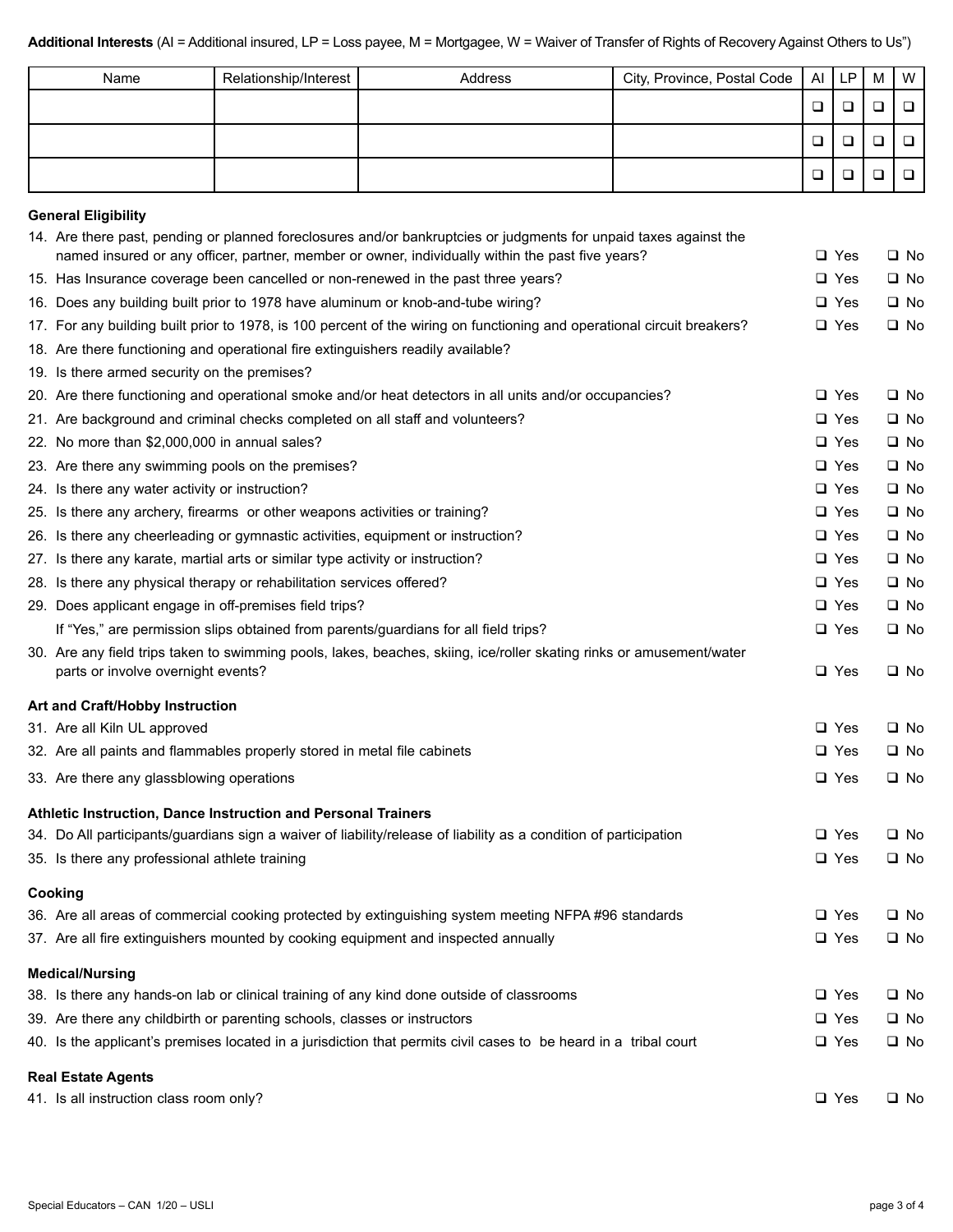| Name | Relationship/Interest | Address | City, Province, Postal Code   AI   LP |        | M | I W |
|------|-----------------------|---------|---------------------------------------|--------|---|-----|
|      |                       |         |                                       | $\Box$ |   |     |
|      |                       |         |                                       | □      |   |     |
|      |                       |         |                                       | □      |   |     |

# **General Eligibility**

| OBITETAI EIIYINIIIY                                                                                                                                                                                                   |               |              |
|-----------------------------------------------------------------------------------------------------------------------------------------------------------------------------------------------------------------------|---------------|--------------|
| 14. Are there past, pending or planned foreclosures and/or bankruptcies or judgments for unpaid taxes against the<br>named insured or any officer, partner, member or owner, individually within the past five years? | $\Box$ Yes    | $\square$ No |
| 15. Has Insurance coverage been cancelled or non-renewed in the past three years?                                                                                                                                     | $\Box$ Yes    | $\square$ No |
| 16. Does any building built prior to 1978 have aluminum or knob-and-tube wiring?                                                                                                                                      | $\Box$ Yes    | $\square$ No |
| 17. For any building built prior to 1978, is 100 percent of the wiring on functioning and operational circuit breakers?                                                                                               | $\Box$ Yes    | $\square$ No |
| 18. Are there functioning and operational fire extinguishers readily available?                                                                                                                                       |               |              |
| 19. Is there armed security on the premises?                                                                                                                                                                          |               |              |
| 20. Are there functioning and operational smoke and/or heat detectors in all units and/or occupancies?                                                                                                                | $\Box$ Yes    | $\Box$ No    |
| 21. Are background and criminal checks completed on all staff and volunteers?                                                                                                                                         | $\Box$ Yes    | $\Box$ No    |
| 22. No more than \$2,000,000 in annual sales?                                                                                                                                                                         | $\Box$ Yes    | $\square$ No |
| 23. Are there any swimming pools on the premises?                                                                                                                                                                     | $\Box$ Yes    | $\square$ No |
| 24. Is there any water activity or instruction?                                                                                                                                                                       | $\Box$ Yes    | $\square$ No |
| 25. Is there any archery, firearms or other weapons activities or training?                                                                                                                                           | $\Box$ Yes    | $\square$ No |
| 26. Is there any cheerleading or gymnastic activities, equipment or instruction?                                                                                                                                      | $\Box$ Yes    | $\square$ No |
| 27. Is there any karate, martial arts or similar type activity or instruction?                                                                                                                                        | $\Box$ Yes    | $\square$ No |
| 28. Is there any physical therapy or rehabilitation services offered?                                                                                                                                                 | $\Box$ Yes    | $\square$ No |
| 29. Does applicant engage in off-premises field trips?                                                                                                                                                                | $\Box$ Yes    | $\square$ No |
| If "Yes," are permission slips obtained from parents/guardians for all field trips?                                                                                                                                   | $\Box$ Yes    | $\square$ No |
| 30. Are any field trips taken to swimming pools, lakes, beaches, skiing, ice/roller skating rinks or amusement/water<br>parts or involve overnight events?                                                            | $\Box$ Yes    | $\square$ No |
| Art and Craft/Hobby Instruction                                                                                                                                                                                       |               |              |
| 31. Are all Kiln UL approved                                                                                                                                                                                          | $\square$ Yes | $\square$ No |
| 32. Are all paints and flammables properly stored in metal file cabinets                                                                                                                                              | $\Box$ Yes    | $\square$ No |
| 33. Are there any glassblowing operations                                                                                                                                                                             | $\Box$ Yes    | $\square$ No |
| Athletic Instruction, Dance Instruction and Personal Trainers                                                                                                                                                         |               |              |
| 34. Do All participants/guardians sign a waiver of liability/release of liability as a condition of participation                                                                                                     | $\Box$ Yes    | $\square$ No |
| 35. Is there any professional athlete training                                                                                                                                                                        | $\Box$ Yes    | $\square$ No |
| Cooking                                                                                                                                                                                                               |               |              |
| 36. Are all areas of commercial cooking protected by extinguishing system meeting NFPA #96 standards                                                                                                                  | $\Box$ Yes    | $\square$ No |
| 37. Are all fire extinguishers mounted by cooking equipment and inspected annually                                                                                                                                    | $\Box$ Yes    | $\square$ No |
| <b>Medical/Nursing</b>                                                                                                                                                                                                |               |              |
| 38. Is there any hands-on lab or clinical training of any kind done outside of classrooms                                                                                                                             | $\Box$ Yes    | □ No         |
| 39. Are there any childbirth or parenting schools, classes or instructors                                                                                                                                             | $\Box$ Yes    | $\square$ No |
| 40. Is the applicant's premises located in a jurisdiction that permits civil cases to be heard in a tribal court                                                                                                      | $\square$ Yes | $\square$ No |
| <b>Real Estate Agents</b>                                                                                                                                                                                             |               |              |
| 41. Is all instruction class room only?                                                                                                                                                                               | $\Box$ Yes    | $\square$ No |